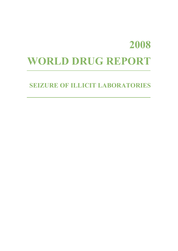# **2008 WORLD DRUG REPORT**

# **SEIZURE OF ILLICIT LABORATORIES**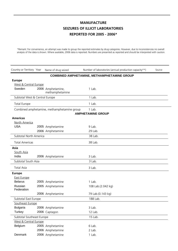\*Remark: For convenience, an attempt was made to group the reported estimates by drug categories. However, due to inconsistencies no overall analysis of the data is shown. Where available, 2006 data is reported. Numbers are presented as reported and should be interpreted with caution.

| Country or Territory Year      | Name of drug seized                         | Number of laboratories (annual production capacity**) | Source |
|--------------------------------|---------------------------------------------|-------------------------------------------------------|--------|
|                                |                                             | <b>COMBINED AMPHETAMINE, METHAMPHETAMINE GROUP</b>    |        |
| <b>Europe</b>                  |                                             |                                                       |        |
| West & Central Europe          |                                             |                                                       |        |
| Sweden                         | 2006 Amphetamine,<br>methamphetamine        | 1 Lab.                                                |        |
| Subtotal West & Central Europe |                                             | 1 Lab.                                                |        |
| <b>Total Europe</b>            |                                             | 1 Lab.                                                |        |
|                                | Combined amphetamine, methamphetamine group | 1 Lab.                                                |        |
|                                |                                             | <b>AMPHETAMINE GROUP</b>                              |        |
| <b>Americas</b>                |                                             |                                                       |        |
| North America                  |                                             |                                                       |        |
| <b>USA</b>                     | 2005 Amphetamine                            | 9 Lab.                                                |        |
|                                | 2006 Amphetamine                            | 29 Lab.                                               |        |
| Subtotal North America         |                                             | 38 Lab.                                               |        |
| <b>Total Americas</b>          |                                             | 38 Lab.                                               |        |
| Asia                           |                                             |                                                       |        |
| South Asia                     |                                             |                                                       |        |
| India                          | 2006 Amphetamine                            | 3 Lab.                                                |        |
| Subtotal South Asia            |                                             | 3 Lab.                                                |        |
| <b>Total Asia</b>              |                                             | 3 Lab.                                                |        |
| <b>Europe</b>                  |                                             |                                                       |        |
| East Europe                    |                                             |                                                       |        |
| <b>Belarus</b>                 | 2005 Amphetamine                            | 1 Lab.                                                |        |
| Russian<br>Federation          | 2005 Amphetamine                            | 108 Lab.(2.042 kg)                                    |        |
|                                | 2006 Amphetamine                            | 79 Lab.(0.143 kg)                                     |        |
| Subtotal East Europe           |                                             | 188 Lab.                                              |        |
| Southeast Europe               |                                             |                                                       |        |
| <b>Bulgaria</b>                | 2006 Amphetamine                            | 3 Lab.                                                |        |
| <b>Turkey</b>                  | 2006 Captagon                               | 12 Lab.                                               |        |
| Subtotal Southeast Europe      |                                             | 15 Lab.                                               |        |
| West & Central Europe          |                                             |                                                       |        |
| Belgium                        | 2005 Amphetamine                            | 6 Lab.                                                |        |
|                                | 2006 Amphetamine                            | 2 Lab.                                                |        |
| Denmark                        | 2006 Amphetamine                            | 1 Lab.                                                |        |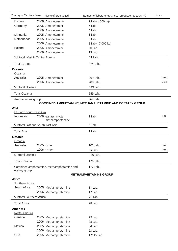| Country or Territory Year         | Name of drug seized                       | Number of laboratories (annual production capacity**)          | Source |
|-----------------------------------|-------------------------------------------|----------------------------------------------------------------|--------|
| Estonia                           | 2006 Amphetamine                          | 2 Lab.(1.500 kg)                                               |        |
| Germany                           | 2005 Amphetamine                          | 6 Lab.                                                         |        |
|                                   | 2006 Amphetamine                          | 4 Lab.                                                         |        |
| Lithuania                         | 2005 Amphetamine                          | 1 Lab.                                                         |        |
| Netherlands                       | 2005 Amphetamine                          | 8 Lab.                                                         |        |
|                                   | 2006 Amphetamine                          | 8 Lab.(17.000 kg)                                              |        |
| Poland                            | 2005 Amphetamine                          | 20 Lab.                                                        |        |
|                                   | 2006 Amphetamine                          | 13 Lab.                                                        |        |
| Subtotal West & Central Europe    |                                           | 71 Lab.                                                        |        |
| <b>Total Europe</b>               |                                           | 274 Lab.                                                       |        |
| <b>Oceania</b>                    |                                           |                                                                |        |
| Oceania                           |                                           |                                                                |        |
| Australia                         | 2005 Amphetamine                          | 269 Lab.                                                       | Govt   |
|                                   | 2006 Amphetamine                          | 280 Lab.                                                       | Govt   |
| Subtotal Oceania                  |                                           | 549 Lab.                                                       |        |
| <b>Total Oceania</b>              |                                           | 549 Lab.                                                       |        |
| Amphetamine group                 |                                           | 864 Lab.                                                       |        |
|                                   |                                           | <b>COMBINED AMPHETAMINE, METHAMPHETAMINE AND ECSTASY GROUP</b> |        |
| Asia                              |                                           |                                                                |        |
| <b>East and South-East Asia</b>   |                                           |                                                                |        |
| Indonesia                         | 2006 ecstasy, crystal<br>methamphetamine  | 1 Lab.                                                         | F.O    |
| Subtotal East and South-East Asia |                                           | 1 Lab.                                                         |        |
| <b>Total Asia</b>                 |                                           | 1 Lab.                                                         |        |
| <b>Oceania</b>                    |                                           |                                                                |        |
| Oceania                           |                                           |                                                                |        |
| Australia                         | 2005 Other                                | 101 Lab.                                                       | Govt   |
|                                   | 2006 Other                                | 75 Lab.                                                        | Govt   |
| Subtotal Oceania                  |                                           | 176 Lab.                                                       |        |
| Total Oceania                     |                                           | 176 Lab.                                                       |        |
| ecstasy group                     | Combined amphetamine, methamphetamine and | 177 Lab.                                                       |        |
|                                   |                                           | <b>METHAMPHETAMINE GROUP</b>                                   |        |
| <b>Africa</b>                     |                                           |                                                                |        |
| Southern Africa                   |                                           |                                                                |        |
| South Africa                      | 2005 Methamphetamine                      | 11 Lab.                                                        |        |
|                                   | 2006 Methamphetamine                      | 17 Lab.                                                        |        |
| Subtotal Southern Africa          |                                           | 28 Lab.                                                        |        |
| <b>Total Africa</b>               |                                           | 28 Lab.                                                        |        |
| <b>Americas</b>                   |                                           |                                                                |        |
| North America                     |                                           |                                                                |        |
| Canada                            | 2005 Methamphetamine                      | 29 Lab.                                                        |        |
|                                   | 2006 Methamphetamine                      | 23 Lab.                                                        |        |
| Mexico                            | 2005 Methamphetamine                      | 34 Lab.                                                        |        |
|                                   | 2006 Methamphetamine                      | 23 Lab.                                                        |        |
| <b>USA</b>                        | 2005 Methamphetamine                      | 12115 Lab.                                                     |        |
|                                   |                                           |                                                                |        |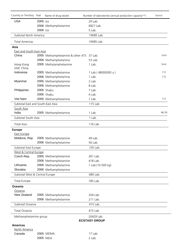| Country or Territory Year         |          | Name of drug seized              | Number of laboratories (annual production capacity**) | Source       |
|-----------------------------------|----------|----------------------------------|-------------------------------------------------------|--------------|
| <b>USA</b>                        | 2005 Ice |                                  | 29 Lab.                                               |              |
|                                   |          | 2006 Methamphetamine             | 6827 Lab.                                             |              |
|                                   | 2006 Ice |                                  | 5 Lab.                                                |              |
| Subtotal North America            |          |                                  | 19085 Lab.                                            |              |
| <b>Total Americas</b>             |          |                                  | 19085 Lab.                                            |              |
| Asia                              |          |                                  |                                                       |              |
| <b>East and South-East Asia</b>   |          |                                  |                                                       |              |
| China                             |          | 2005 Methamphetamine & other ATS | 37 Lab.                                               | Govt         |
|                                   |          | 2006 Methamphetamine             | 53 Lab.                                               |              |
| Hong Kong<br>SAR, China           |          | 2005 Methylamphetamine           | 1 Lab.                                                | Govt.        |
| Indonesia                         |          | 2005 Methamphetamine             | 1 Lab.(48000000 u.)                                   | F.O          |
|                                   |          | 2006 Methamphetamine             | 1 Lab.                                                | F.O          |
| Myanmar                           |          | 2005 Methamphetamine             | 2 Lab.                                                |              |
|                                   |          | 2006 Methamphetamine             | 8 Lab.                                                |              |
| Philippines                       |          | 2005 Shabu                       | 7 Lab.                                                |              |
|                                   |          | 2006 Shabu                       | 4 Lab.                                                |              |
| Viet Nam                          |          | 2005 Methamphetamine             | 1 Lab.                                                | F.O          |
| Subtotal East and South-East Asia |          |                                  | 115 Lab.                                              |              |
| South Asia                        |          |                                  |                                                       |              |
| India                             |          | 2005 Methamphetamine             | 1 Lab.                                                | <b>INCSR</b> |
| Subtotal South Asia               |          |                                  | 1 Lab.                                                |              |
| <b>Total Asia</b>                 |          |                                  | 116 Lab.                                              |              |
| <b>Europe</b>                     |          |                                  |                                                       |              |
| <b>East Europe</b>                |          |                                  |                                                       |              |
| Moldova, Rep.                     |          | 2005 Methamphetamine             | 49 Lab.                                               |              |
|                                   |          | 2006 Methamphetamine             | 56 Lab.                                               |              |
| Subtotal East Europe              |          |                                  | 105 Lab.                                              |              |
| West & Central Europe             |          |                                  |                                                       |              |
| Czech Rep.                        |          | 2005 Methamphetamine             | 261 Lab.                                              |              |
|                                   |          | 2006 Methamphetamine             | 418 Lab.                                              |              |
| Lithuania                         |          | 2006 Methamphetamine             | 1 Lab.(10.500 kg)                                     |              |
| Slovakia                          |          | 2006 Methamphetamine             |                                                       |              |
| Subtotal West & Central Europe    |          |                                  | 680 Lab.                                              |              |
| <b>Total Europe</b>               |          |                                  | 785 Lab.                                              |              |
| <b>Oceania</b>                    |          |                                  |                                                       |              |
| Oceania                           |          |                                  |                                                       |              |
| New Zealand                       |          | 2005 Methamphetamine             | 204 Lab.                                              |              |
|                                   |          | 2006 Methamphetamine             | 211 Lab.                                              |              |
| Subtotal Oceania                  |          |                                  | 415 Lab.                                              |              |
| Total Oceania                     |          |                                  | 415 Lab.                                              |              |
| Methamphetamine group             |          |                                  | 20429 Lab.<br><b>ECSTASY GROUP</b>                    |              |
| <b>Americas</b>                   |          |                                  |                                                       |              |
| North America                     |          |                                  |                                                       |              |
| Canada                            |          | 2005 MDMA                        | 17 Lab.                                               |              |
|                                   |          | 2005 MDA                         | 2 Lab.                                                |              |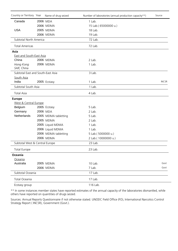| Country or Territory Year         | Name of drug seized  | Number of laboratories (annual production capacity**) | Source       |
|-----------------------------------|----------------------|-------------------------------------------------------|--------------|
| Canada                            | 2006 MDA             | 1 Lab.                                                |              |
|                                   | 2006 MDMA            | 15 Lab.( 65000000 u.)                                 |              |
| <b>USA</b>                        | 2005 MDMA            | 18 Lab.                                               |              |
|                                   | 2006 MDMA            | 19 Lab.                                               |              |
| Subtotal North America            |                      | 72 Lab.                                               |              |
| <b>Total Americas</b>             |                      | 72 Lab.                                               |              |
| Asia                              |                      |                                                       |              |
| <b>East and South-East Asia</b>   |                      |                                                       |              |
| China                             | 2006 MDMA            | 2 Lab.                                                |              |
| Hong Kong<br>SAR, China           | 2006 MDMA            | 1 Lab.                                                |              |
| Subtotal East and South-East Asia |                      | 3 Lab.                                                |              |
| South Asia                        |                      |                                                       |              |
| India                             | 2005 Ecstasy         | 1 Lab.                                                | <b>INCSR</b> |
| Subtotal South Asia               |                      | 1 Lab.                                                |              |
| <b>Total Asia</b>                 |                      | 4 Lab.                                                |              |
| <b>Europe</b>                     |                      |                                                       |              |
| West & Central Europe             |                      |                                                       |              |
| Belgium                           | 2005 Ecstasy         | 5 Lab.                                                |              |
| Germany                           | 2006 MDA             | 2 Lab.                                                |              |
| Netherlands                       | 2005 MDMA tabletting | 5 Lab.                                                |              |
|                                   | 2005 MDMA            | 2 Lab.                                                |              |
|                                   | 2005 Liquid MDMA     | 1 Lab.                                                |              |
|                                   | 2006 Liquid MDMA     | 1 Lab.                                                |              |
|                                   | 2006 MDMA tabletting | 5 Lab.(5000000 u.)                                    |              |
|                                   | 2006 MDMA            | 2 Lab.(10000000 u.)                                   |              |
| Subtotal West & Central Europe    |                      | 23 Lab.                                               |              |
| <b>Total Europe</b>               |                      | 23 Lab.                                               |              |
| <b>Oceania</b>                    |                      |                                                       |              |
| Oceania                           |                      |                                                       |              |
| Australia                         | 2005 MDMA            | 10 Lab.                                               | Govt         |
|                                   | 2006 MDMA            | 7 Lab.                                                | Govt         |
| Subtotal Oceania                  |                      | 17 Lab.                                               |              |
| Total Oceania                     |                      | 17 Lab.                                               |              |
| Ecstasy group                     |                      | 116 Lab.                                              |              |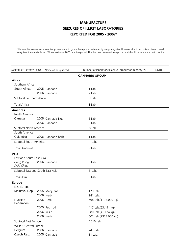\*Remark: For convenience, an attempt was made to group the reported estimates by drug categories. However, due to inconsistencies no overall analysis of the data is shown. Where available, 2006 data is reported. Numbers are presented as reported and should be interpreted with caution.

| Country or Territory Year         | Name of drug seized | Number of laboratories (annual production capacity**) | Source |
|-----------------------------------|---------------------|-------------------------------------------------------|--------|
|                                   |                     | <b>CANNABIS GROUP</b>                                 |        |
| <b>Africa</b>                     |                     |                                                       |        |
| Southern Africa                   |                     |                                                       |        |
| South Africa                      | 2005 Cannabis       | 1 Lab.                                                |        |
|                                   | 2006 Cannabis       | 2 Lab.                                                |        |
| Subtotal Southern Africa          |                     | 3 Lab.                                                |        |
| <b>Total Africa</b>               |                     | 3 Lab.                                                |        |
| <b>Americas</b>                   |                     |                                                       |        |
| North America                     |                     |                                                       |        |
| Canada                            | 2005 Cannabis Ext.  | 5 Lab.                                                |        |
|                                   | 2006 Cannabis       | 3 Lab.                                                |        |
| Subtotal North America            |                     | 8 Lab.                                                |        |
| South America                     |                     |                                                       |        |
| Colombia                          | 2006 Cannabis herb  | 1 Lab.                                                |        |
| Subtotal South America            |                     | 1 Lab.                                                |        |
| <b>Total Americas</b>             |                     | 9 Lab.                                                |        |
| Asia                              |                     |                                                       |        |
| <b>East and South-East Asia</b>   |                     |                                                       |        |
| Hong Kong<br>SAR, China           | 2006 Cannabis       | 3 Lab.                                                |        |
| Subtotal East and South-East Asia |                     | 3 Lab.                                                |        |
| <b>Total Asia</b>                 |                     | 3 Lab.                                                |        |
| <b>Europe</b>                     |                     |                                                       |        |
| <b>East Europe</b>                |                     |                                                       |        |
| Moldova, Rep.                     | 2005 Marijuana      | 173 Lab.                                              |        |
|                                   | 2006 Herb           | 241 Lab.                                              |        |
| Russian<br>Federation             | 2005 Herb           | 698 Lab.(1137.000 kg)                                 |        |
|                                   | 2005 Resin oil      | 417 Lab.(63.491 kg)                                   |        |
|                                   | 2006 Resin          | 380 Lab.(41.174 kg)                                   |        |
|                                   | 2006 Herb           | 601 Lab.(2323.000 kg)                                 |        |
| Subtotal East Europe              |                     | 2510 Lab.                                             |        |
| West & Central Europe             |                     |                                                       |        |
| Belgium                           | 2006 Cannabis       | 244 Lab.                                              |        |
| Czech Rep.                        | 2005 Cannabis       | 11 Lab.                                               |        |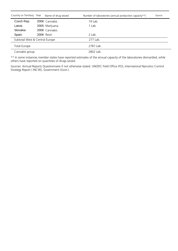| Country or Territory Year      | Name of drug seized | Number of laboratories (annual production capacity**) | Source |
|--------------------------------|---------------------|-------------------------------------------------------|--------|
| Czech Rep.                     | 2006 Cannabis       | 19 Lab.                                               |        |
| Latvia                         | 2005 Marijuana      | 1 Lab.                                                |        |
| Slovakia                       | 2006 Cannabis       |                                                       |        |
| Spain                          | <b>2006</b> Resin   | 2 Lab.                                                |        |
| Subtotal West & Central Europe |                     | 277 Lab.                                              |        |
| Total Europe                   |                     | 2787 Lab.                                             |        |
| Cannabis group                 |                     | 2802 Lab.                                             |        |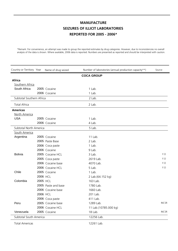\*Remark: For convenience, an attempt was made to group the reported estimates by drug categories. However, due to inconsistencies no overall analysis of the data is shown. Where available, 2006 data is reported. Numbers are presented as reported and should be interpreted with caution.

| Country or Territory Year | Name of drug seized | Number of laboratories (annual production capacity**) | Source       |
|---------------------------|---------------------|-------------------------------------------------------|--------------|
|                           |                     | <b>COCA GROUP</b>                                     |              |
| Africa                    |                     |                                                       |              |
| Southern Africa           |                     |                                                       |              |
| South Africa              | 2005 Cocaine        | 1 Lab.                                                |              |
|                           | 2006 Cocaine        | 1 Lab.                                                |              |
| Subtotal Southern Africa  |                     | 2 Lab.                                                |              |
| <b>Total Africa</b>       |                     | 2 Lab.                                                |              |
| <b>Americas</b>           |                     |                                                       |              |
| North America             |                     |                                                       |              |
| <b>USA</b>                | 2005 Cocaine        | 1 Lab.                                                |              |
|                           | 2006 Cocaine        | 4 Lab.                                                |              |
| Subtotal North America    |                     | 5 Lab.                                                |              |
| South America             |                     |                                                       |              |
| Argentina                 | 2005 Cocaine        | 11 Lab.                                               |              |
|                           | 2005 Paste Base     | 2 Lab.                                                |              |
|                           | 2006 Coca paste     | 1 Lab.                                                |              |
|                           | 2006 Cocaine        | 9 Lab.                                                |              |
| <b>Bolivia</b>            | 2005 Cocaine HCL    | 3 Lab.                                                | F.O          |
|                           | 2005 Coca paste     | 2619 Lab.                                             | F.O          |
|                           | 2006 Cocaine base   | 4070 Lab.                                             | F.O          |
|                           | 2006 Cocaine HCL    | 5 Lab.                                                | F.O          |
| Chile                     | 2005 Cocaine        | 1 Lab.                                                |              |
|                           | 2006 HCL            | 2 Lab.(64.152 kg)                                     |              |
| Colombia                  | 2005 HCL            | 163 Lab.                                              |              |
|                           | 2005 Paste and base | 1780 Lab.                                             |              |
|                           | 2006 Cocaine base   | 1660 Lab.                                             |              |
|                           | 2006 HCL            | 201 Lab.                                              |              |
|                           | 2006 Coca paste     | 411 Lab.                                              |              |
| Peru                      | 2005 Cocaine base   | 1289 Lab.                                             | <b>INCSR</b> |
|                           | 2006 Cocaine HCL    | 11 Lab.(10785.000 kg)                                 |              |
| Venezuela                 | 2005 Cocaine        | 18 Lab.                                               | <b>INCSR</b> |
| Subtotal South America    |                     | 12256 Lab.                                            |              |

Total Americas 12261 Lab.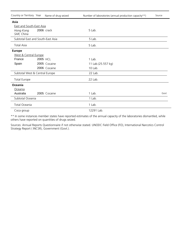| Country or Territory Year      | Name of drug seized               | Number of laboratories (annual production capacity**) | Source |
|--------------------------------|-----------------------------------|-------------------------------------------------------|--------|
| Asia                           |                                   |                                                       |        |
| East and South-East Asia       |                                   |                                                       |        |
| Hong Kong<br>SAR, China        | 2006 crack                        | 5 Lab.                                                |        |
|                                | Subtotal East and South-East Asia | 5 Lab.                                                |        |
| <b>Total Asia</b>              |                                   | 5 Lab.                                                |        |
| <b>Europe</b>                  |                                   |                                                       |        |
| West & Central Europe          |                                   |                                                       |        |
| France                         | 2005 HCL                          | 1 Lab.                                                |        |
| Spain                          | 2005 Cocaine                      | 11 Lab.(25.557 kg)                                    |        |
|                                | 2006 Cocaine                      | 10 Lab.                                               |        |
| Subtotal West & Central Europe |                                   | 22 Lab.                                               |        |
| <b>Total Europe</b>            |                                   | 22 Lab.                                               |        |
| Oceania                        |                                   |                                                       |        |
| Oceania                        |                                   |                                                       |        |
| Australia                      | 2005 Cocaine                      | 1 Lab.                                                | Govt   |
| Subtotal Oceania               |                                   | 1 Lab.                                                |        |
| Total Oceania                  |                                   | 1 Lab.                                                |        |
| Coca group                     |                                   | 12291 Lab.                                            |        |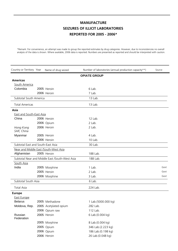\*Remark: For convenience, an attempt was made to group the reported estimates by drug categories. However, due to inconsistencies no overall analysis of the data is shown. Where available, 2006 data is reported. Numbers are presented as reported and should be interpreted with caution.

| Country or Territory Year             | Name of drug seized                            | Number of laboratories (annual production capacity**) | Source |
|---------------------------------------|------------------------------------------------|-------------------------------------------------------|--------|
|                                       |                                                | <b>OPIATE GROUP</b>                                   |        |
| <b>Americas</b>                       |                                                |                                                       |        |
| South America                         |                                                |                                                       |        |
| Colombia                              | 2005 Heroin                                    | 6 Lab.                                                |        |
|                                       | 2006 Heroin                                    | 7 Lab.                                                |        |
| Subtotal South America                |                                                | 13 Lab.                                               |        |
| <b>Total Americas</b>                 |                                                | 13 Lab.                                               |        |
| Asia                                  |                                                |                                                       |        |
| <b>East and South-East Asia</b>       |                                                |                                                       |        |
| China                                 | 2006 Heroin                                    | 12 Lab.                                               |        |
|                                       | 2006 Opium                                     | 2 Lab.                                                |        |
| Hong Kong<br>SAR, China               | 2006 Heroin                                    | 2 Lab.                                                |        |
| Myanmar                               | 2005 Heroin                                    | 4 Lab.                                                |        |
|                                       | 2006 Heroin                                    | 10 Lab.                                               |        |
| Subtotal East and South-East Asia     |                                                | 30 Lab.                                               |        |
| Near and Middle East /South-West Asia |                                                |                                                       |        |
| Afghanistan                           | 2005 Heroin                                    | 188 Lab.                                              |        |
|                                       | Subtotal Near and Middle East /South-West Asia | 188 Lab.                                              |        |
| South Asia                            |                                                |                                                       |        |
| India                                 | 2005 Morphine                                  | 1 Lab.                                                | Govt   |
|                                       | 2005 Heroin                                    | 2 Lab.                                                | Govt   |
|                                       | 2006 Morphine                                  | 3 Lab.                                                | Govt   |
| Subtotal South Asia                   |                                                | 6 Lab.                                                |        |
| <b>Total Asia</b>                     |                                                | 224 Lab.                                              |        |
| <b>Europe</b>                         |                                                |                                                       |        |
| <b>East Europe</b>                    |                                                |                                                       |        |
| <b>Belarus</b>                        | 2005 Methadone                                 | 1 Lab.(5000.000 kg)                                   |        |
| Moldova, Rep.                         | 2005 Acetylated opium                          | 282 Lab.                                              |        |
|                                       | 2006 Opium raw                                 | 112 Lab.                                              |        |
| Russian<br>Federation                 | 2005 Heroin                                    | 6 Lab.(0.004 kg)                                      |        |
|                                       | 2005 Morphine                                  | 8 Lab.(0.004 kg)                                      |        |
|                                       | 2005 Opium                                     | 346 Lab.(2.223 kg)                                    |        |
|                                       | 2006 Opium                                     | 186 Lab.(0.198 kg)                                    |        |
|                                       | 2006 Heroin                                    | 26 Lab.(0.048 kg)                                     |        |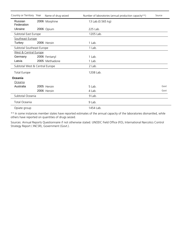| Country or Territory Year      | Name of drug seized | Number of laboratories (annual production capacity**) | Source |
|--------------------------------|---------------------|-------------------------------------------------------|--------|
| Russian<br>Federation          | 2006 Morphine       | 13 Lab.(0.565 kg)                                     |        |
| Ukraine                        | 2006 Opium          | 225 Lab.                                              |        |
| Subtotal East Europe           |                     | 1205 Lab.                                             |        |
| Southeast Europe               |                     |                                                       |        |
| Turkey                         | 2006 Heroin         | 1 Lab.                                                |        |
| Subtotal Southeast Europe      |                     | 1 Lab.                                                |        |
| West & Central Europe          |                     |                                                       |        |
| Germany                        | 2006 Fentanyl       | 1 Lab.                                                |        |
| Latvia                         | 2005 Methadone      | 1 Lab.                                                |        |
| Subtotal West & Central Europe |                     | 2 Lab.                                                |        |
| <b>Total Europe</b>            |                     | 1208 Lab.                                             |        |
| Oceania                        |                     |                                                       |        |
| Oceania                        |                     |                                                       |        |
| Australia                      | 2005 Heroin         | 5 Lab.                                                | Govt   |
|                                | 2006 Heroin         | 4 Lab.                                                | Govt   |
| Subtotal Oceania               |                     | 9 Lab.                                                |        |
| Total Oceania                  |                     | 9 Lab.                                                |        |
| Opiate group                   |                     | 1454 Lab.                                             |        |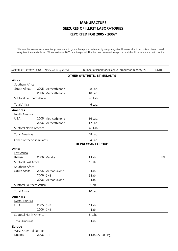\*Remark: For convenience, an attempt was made to group the reported estimates by drug categories. However, due to inconsistencies no overall analysis of the data is shown. Where available, 2006 data is reported. Numbers are presented as reported and should be interpreted with caution.

| Country or Territory Year  |  | Name of drug seized | Number of laboratories (annual production capacity**) | Source      |
|----------------------------|--|---------------------|-------------------------------------------------------|-------------|
|                            |  |                     | <b>OTHER SYNTHETIC STIMULANTS</b>                     |             |
| <b>Africa</b>              |  |                     |                                                       |             |
| Southern Africa            |  |                     |                                                       |             |
| South Africa               |  | 2005 Methcathinone  | 28 Lab.                                               |             |
|                            |  | 2006 Methcathinone  | 18 Lab.                                               |             |
| Subtotal Southern Africa   |  |                     | 46 Lab.                                               |             |
| <b>Total Africa</b>        |  |                     | 46 Lab.                                               |             |
| <b>Americas</b>            |  |                     |                                                       |             |
| North America              |  |                     |                                                       |             |
| <b>USA</b>                 |  | 2005 Methcathinone  | 36 Lab.                                               |             |
|                            |  | 2006 Methcathinone  | 12 Lab.                                               |             |
| Subtotal North America     |  |                     | 48 Lab.                                               |             |
| <b>Total Americas</b>      |  |                     | 48 Lab.                                               |             |
| Other synthetic stimulants |  |                     | 94 Lab.                                               |             |
|                            |  |                     | <b>DEPRESSANT GROUP</b>                               |             |
| <b>Africa</b>              |  |                     |                                                       |             |
| <b>East Africa</b>         |  |                     |                                                       |             |
| Kenya                      |  | 2006 Mandrax        | 1 Lab.                                                | <b>HNLF</b> |
| Subtotal East Africa       |  |                     | 1 Lab.                                                |             |
| Southern Africa            |  |                     |                                                       |             |
| South Africa               |  | 2005 Methaqualone   | 5 Lab.                                                |             |
|                            |  | 2006 GHB            | 2 Lab.                                                |             |
|                            |  | 2006 Methaqualone   | 2 Lab.                                                |             |
| Subtotal Southern Africa   |  |                     | 9 Lab.                                                |             |
| <b>Total Africa</b>        |  |                     | 10 Lab.                                               |             |
| <b>Americas</b>            |  |                     |                                                       |             |
| North America              |  |                     |                                                       |             |
| <b>USA</b>                 |  | 2005 GHB            | 4 Lab.                                                |             |
|                            |  | 2006 GHB            | 4 Lab.                                                |             |
| Subtotal North America     |  |                     | 8 Lab.                                                |             |
| <b>Total Americas</b>      |  |                     | 8 Lab.                                                |             |
| <b>Europe</b>              |  |                     |                                                       |             |
| West & Central Europe      |  |                     |                                                       |             |

Estonia 2006 GHB 1 Lab.(22.500 kg)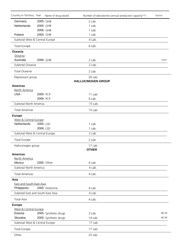| Country or Territory Year         |          | Name of drug seized  | Number of laboratories (annual production capacity**) | Source       |
|-----------------------------------|----------|----------------------|-------------------------------------------------------|--------------|
| Germany                           | 2005 GHB |                      | 2 Lab.                                                |              |
| Netherlands                       | 2005 GHB |                      | 1 Lab.                                                |              |
|                                   | 2006 GHB |                      | 1 Lab.                                                |              |
| Poland                            | 2005 GHB |                      | 1 Lab.                                                |              |
| Subtotal West & Central Europe    |          |                      | 6 Lab.                                                |              |
| <b>Total Europe</b>               |          |                      | 6 Lab.                                                |              |
| <b>Oceania</b>                    |          |                      |                                                       |              |
| Oceania                           |          |                      |                                                       |              |
| Australia                         | 2006 GHB |                      | 2 Lab.                                                | Govt         |
| Subtotal Oceania                  |          |                      | 2 Lab.                                                |              |
| Total Oceania                     |          |                      | 2 Lab.                                                |              |
| Depressant group                  |          |                      | 26 Lab.<br><b>HALLUCINOGEN GROUP</b>                  |              |
| <b>Americas</b>                   |          |                      |                                                       |              |
| North America                     |          |                      |                                                       |              |
| <b>USA</b>                        | 2005 PCP |                      | 11 Lab.                                               |              |
|                                   | 2006 PCP |                      | 4 Lab.                                                |              |
| Subtotal North America            |          |                      | 15 Lab.                                               |              |
| <b>Total Americas</b>             |          |                      | 15 Lab.                                               |              |
| <b>Europe</b>                     |          |                      |                                                       |              |
| West & Central Europe             |          |                      |                                                       |              |
| Netherlands                       | 2005 LSD |                      | 1 Lab.                                                |              |
|                                   | 2006 LSD |                      | 1 Lab.                                                |              |
| Subtotal West & Central Europe    |          |                      | 2 Lab.                                                |              |
| <b>Total Europe</b>               |          |                      | 2 Lab.                                                |              |
| Hallucinogen group                |          |                      | 17 Lab.                                               |              |
|                                   |          |                      | <b>OTHER</b>                                          |              |
| <b>Americas</b>                   |          |                      |                                                       |              |
| North America                     |          |                      |                                                       |              |
| Mexico                            |          | 2005 Other           | 4 Lab.                                                |              |
| Subtotal North America            |          |                      | 4 Lab.                                                |              |
| <b>Total Americas</b>             |          |                      | 4 Lab.                                                |              |
| <b>Asia</b>                       |          |                      |                                                       |              |
| <b>East and South-East Asia</b>   |          |                      |                                                       |              |
| Philippines                       |          | 2005 Ketamine        | 4 Lab.                                                |              |
| Subtotal East and South-East Asia |          |                      | 4 Lab.                                                |              |
| <b>Total Asia</b>                 |          |                      | 4 Lab.                                                |              |
| <b>Europe</b>                     |          |                      |                                                       |              |
| West & Central Europe             |          |                      |                                                       |              |
| Estonia                           |          | 2005 Synthetic drugs | 3 Lab.                                                | <b>INCSR</b> |
| Slovakia                          |          | 2005 Synthetic drugs | 14 Lab.                                               | <b>INCSR</b> |
| Subtotal West & Central Europe    |          |                      | 17 Lab.                                               |              |
| <b>Total Europe</b>               |          |                      | 17 Lab.                                               |              |
| Other                             |          |                      | 25 Lab.                                               |              |